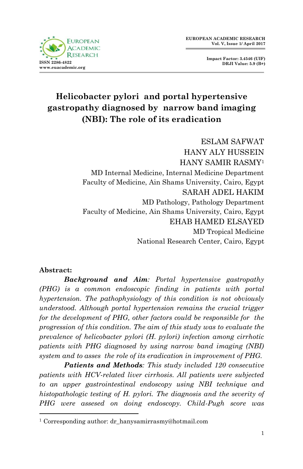

**Impact Factor: 3.4546 (UIF) DRJI Value: 5.9 (B+)**

# **Helicobacter pylori and portal hypertensive gastropathy diagnosed by narrow band imaging (NBI): The role of its eradication**

ESLAM SAFWAT HANY ALY HUSSEIN HANY SAMIR RASMY<sup>1</sup> MD Internal Medicine, Internal Medicine Department Faculty of Medicine, Ain Shams University, Cairo, Egypt SARAH ADEL HAKIM MD Pathology, Pathology Department Faculty of Medicine, Ain Shams University, Cairo, Egypt EHAB HAMED ELSAYED MD Tropical Medicine National Research Center, Cairo, Egypt

### **Abstract:**

1

*Background and Aim: Portal hypertensive gastropathy (PHG) is a common endoscopic finding in patients with portal hypertension. The pathophysiology of this condition is not obviously understood. Although portal hypertension remains the crucial trigger for the development of PHG, other factors could be responsible for the progression of this condition. The aim of this study was to evaluate the prevalence of helicobacter pylori (H. pylori) infection among cirrhotic patients with PHG diagnosed by using narrow band imaging (NBI) system and to asses the role of its eradication in improvement of PHG.* 

*Patients and Methods: This study included 120 consecutive patients with HCV-related liver cirrhosis. All patients were subjected to an upper gastrointestinal endoscopy using NBI technique and histopathologic testing of H. pylori. The diagnosis and the severity of PHG were assesed on doing endoscopy. Child-Pugh score was* 

<sup>&</sup>lt;sup>1</sup> Corresponding author: dr\_hanysamirrasmy@hotmail.com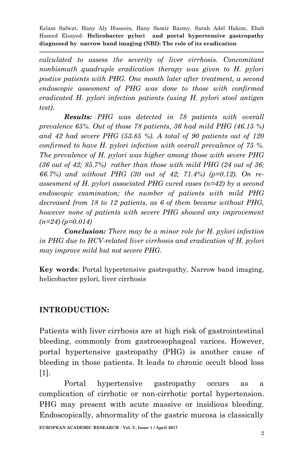*calculated to assess the severity of liver cirrhosis. Concomitant nonbismuth quadruple eradication therapy was given to H. pylori postive patients with PHG. One month later after treatment, a second endoscopic assesment of PHG was done to those with confirmed eradicated H. pylori infection patients (using H. pylori stool antigen test).*

*Results: PHG was detected in 78 patients with overall prevalence 65%. Out of those 78 patients, 36 had mild PHG (46.15 %) and 42 had severe PHG (53.85 %). A total of 90 patients out of 120 confirmed to have H. pylori infection with overall prevalence of 75 %. The prevalence of H. pylori was higher among those with severe PHG (36 out of 42; 85.7%) rather than those with mild PHG (24 out of 36; 66.7%) and without PHG (30 out of 42; 71.4%) (p=0.12). On reassesment of H. pylori associated PHG cured cases (n=42) by a second endoscopic examination; the number of patients with mild PHG decreased from 18 to 12 patients, as 6 of them became without PHG, however none of patients with severe PHG showed any improvement (n=24) (p=0.014)* 

*Conclusion: There may be a minor role for H. pylori infection in PHG due to HCV-related liver cirrhosis and eradication of H. pylori may improve mild but not severe PHG.*

**Key words**: Portal hypertensive gastropathy, Narrow band imaging, helicobacter pylori, liver cirrhosis

# **INTRODUCTION:**

Patients with liver cirrhosis are at high risk of gastrointestinal bleeding, commonly from gastroesophageal varices. However, portal hypertensive gastropathy (PHG) is another cause of bleeding in those patients. It leads to chronic occult blood loss [1].

Portal hypertensive gastropathy occurs as a complication of cirrhotic or non-cirrhotic portal hypertension. PHG may present with acute massive or insidious bleeding. Endoscopically, abnormality of the gastric mucosa is classically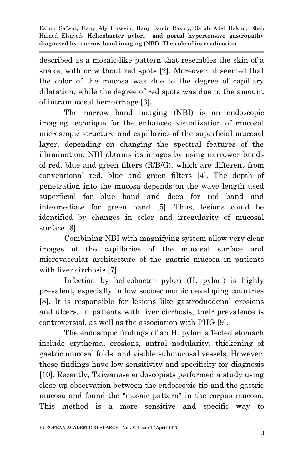described as a mosaic-like pattern that resembles the skin of a snake, with or without red spots [2]. Moreover, it seemed that the color of the mucosa was due to the degree of capillary dilatation, while the degree of red spots was due to the amount of intramucosal hemorrhage [3].

The narrow band imaging (NBI) is an endoscopic imaging technique for the enhanced visualization of mucosal microscopic structure and capillaries of the superficial mucosal layer, depending on changing the spectral features of the illumination. NBI obtains its images by using narrower bands of red, blue and green filters (R/B/G), which are different from conventional red, blue and green filters [4]. The depth of penetration into the mucosa depends on the wave length used superficial for blue band and deep for red band and intermediate for green band [5]. Thus, lesions could be identified by changes in color and irregularity of mucosal surface [6].

Combining NBI with magnifying system allow very clear images of the capillaries of the mucosal surface and microvascular architecture of the gastric mucosa in patients with liver cirrhosis [7].

Infection by helicobacter pylori (H. pylori) is highly prevalent, especially in low socioeconomic developing countries [8]. It is responsible for lesions like gastroduodenal erosions and ulcers. In patients with liver cirrhosis, their prevalence is controversial, as well as the association with PHG [9].

The endoscopic findings of an H. pylori affected stomach include erythema, erosions, antral nodularity, thickening of gastric mucosal folds, and visible submucosal vessels. However, these findings have low sensitivity and specificity for diagnosis [10]. Recently, Taiwanese endoscopists performed a study using close-up observation between the endoscopic tip and the gastric mucosa and found the "mosaic pattern" in the corpus mucosa. This method is a more sensitive and specific way to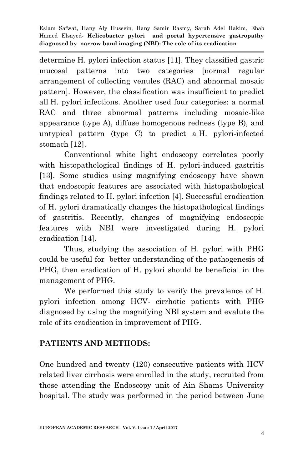determine H. pylori infection status [11]. They classified gastric mucosal patterns into two categories [normal regular arrangement of collecting venules (RAC) and abnormal mosaic pattern]. However, the classification was insufficient to predict all H. pylori infections. Another used four categories: a normal RAC and three abnormal patterns including mosaic-like appearance (type A), diffuse homogenous redness (type B), and untypical pattern (type C) to predict a H. pylori-infected stomach [12].

Conventional white light endoscopy correlates poorly with histopathological findings of H. pylori-induced gastritis [13]. Some studies using magnifying endoscopy have shown that endoscopic features are associated with histopathological findings related to H. pylori infection [4]. Successful eradication of H. pylori dramatically changes the histopathological findings of gastritis. Recently, changes of magnifying endoscopic features with NBI were investigated during H. pylori eradication [14].

Thus, studying the association of H. pylori with PHG could be useful for better understanding of the pathogenesis of PHG, then eradication of H. pylori should be beneficial in the management of PHG.

We performed this study to verify the prevalence of H. pylori infection among HCV- cirrhotic patients with PHG diagnosed by using the magnifying NBI system and evalute the role of its eradication in improvement of PHG.

# **PATIENTS AND METHODS:**

One hundred and twenty (120) consecutive patients with HCV related liver cirrhosis were enrolled in the study, recruited from those attending the Endoscopy unit of Ain Shams University hospital. The study was performed in the period between June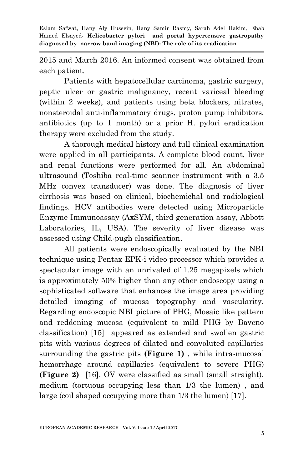2015 and March 2016. An informed consent was obtained from each patient.

Patients with hepatocellular carcinoma, gastric surgery, peptic ulcer or gastric malignancy, recent variceal bleeding (within 2 weeks), and patients using beta blockers, nitrates, nonsteroidal anti-inflammatory drugs, proton pump inhibitors, antibiotics (up to 1 month) or a prior H. pylori eradication therapy were excluded from the study.

A thorough medical history and full clinical examination were applied in all participants. A complete blood count, liver and renal functions were performed for all. An abdominal ultrasound (Toshiba real-time scanner instrument with a 3.5 MHz convex transducer) was done. The diagnosis of liver cirrhosis was based on clinical, biochemichal and radiological findings. HCV antibodies were detected using Microparticle Enzyme Immunoassay (AxSYM, third generation assay, Abbott Laboratories, IL, USA). The severity of liver disease was assessed using Child-pugh classification.

All patients were endoscopically evaluated by the NBI technique using Pentax EPK-i video processor which provides a spectacular image with an unrivaled of 1.25 megapixels which is approximately 50% higher than any other endoscopy using a sophisticated software that enhances the image area providing detailed imaging of mucosa topography and vascularity. Regarding endoscopic NBI picture of PHG, Mosaic like pattern and reddening mucosa (equivalent to mild PHG by Baveno classification) [15] appeared as extended and swollen gastric pits with various degrees of dilated and convoluted capillaries surrounding the gastric pits **(Figure 1)** , while intra-mucosal hemorrhage around capillaries (equivalent to severe PHG) **(Figure 2)** [16]. OV were classified as small (small straight), medium (tortuous occupying less than 1/3 the lumen) , and large (coil shaped occupying more than 1/3 the lumen) [17].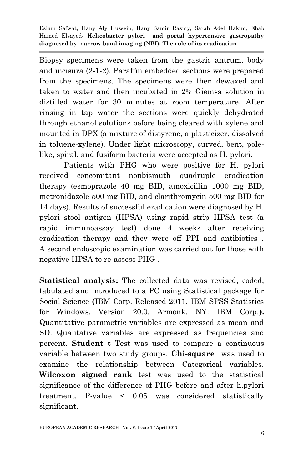Biopsy specimens were taken from the gastric antrum, body and incisura (2-1-2). Paraffin embedded sections were prepared from the specimens. The specimens were then dewaxed and taken to water and then incubated in 2% Giemsa solution in distilled water for 30 minutes at room temperature. After rinsing in tap water the sections were quickly dehydrated through ethanol solutions before being cleared with xylene and mounted in DPX (a mixture of distyrene, a plasticizer, dissolved in toluene-xylene). Under light microscopy, curved, bent, polelike, spiral, and fusiform bacteria were accepted as H. pylori.

Patients with PHG who were positive for H. pylori received concomitant nonbismuth quadruple eradication therapy (esmoprazole 40 mg BID, amoxicillin 1000 mg BID, metronidazole 500 mg BID, and clarithromycin 500 mg BID for 14 days). Results of successful eradication were diagnosed by H. pylori stool antigen (HPSA) using rapid strip HPSA test (a rapid immunoassay test) done 4 weeks after receiving eradication therapy and they were off PPI and antibiotics . A second endoscopic examination was carried out for those with negative HPSA to re-assess PHG .

**Statistical analysis:** The collected data was revised, coded, tabulated and introduced to a PC using Statistical package for Social Science **(**IBM Corp. Released 2011. IBM SPSS Statistics for Windows, Version 20.0. Armonk, NY: IBM Corp.**).** Quantitative parametric variables are expressed as mean and SD. Qualitative variables are expressed as frequencies and percent. **Student t** Test was used to compare a continuous variable between two study groups. **Chi-square** was used to examine the relationship between Categorical variables. **Wilcoxon signed rank** test was used to the statistical significance of the difference of PHG before and after h.pylori treatment. P-value < 0.05 was considered statistically significant.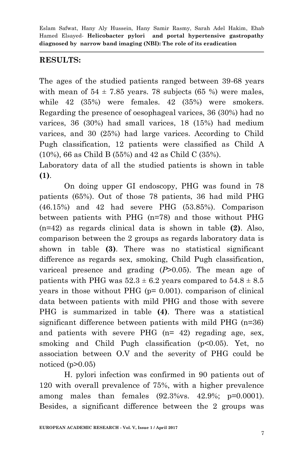## **RESULTS:**

The ages of the studied patients ranged between 39-68 years with mean of  $54 \pm 7.85$  years. 78 subjects (65 %) were males, while 42 (35%) were females. 42 (35%) were smokers. Regarding the presence of oesophageal varices, 36 (30%) had no varices, 36 (30%) had small varices, 18 (15%) had medium varices, and 30 (25%) had large varices. According to Child Pugh classification, 12 patients were classified as Child A (10%), 66 as Child B (55%) and 42 as Child C (35%).

Laboratory data of all the studied patients is shown in table **(1)**.

On doing upper GI endoscopy, PHG was found in 78 patients (65%). Out of those 78 patients, 36 had mild PHG (46.15%) and 42 had severe PHG (53.85%). Comparison between patients with PHG (n=78) and those without PHG (n=42) as regards clinical data is shown in table **(2)**. Also, comparison between the 2 groups as regards laboratory data is shown in table **(3)**. There was no statistical significant difference as regards sex, smoking, Child Pugh classification, variceal presence and grading (*P*>0.05). The mean age of patients with PHG was  $52.3 \pm 6.2$  years compared to  $54.8 \pm 8.5$ years in those without PHG  $(p= 0.001)$ . comparison of clinical data between patients with mild PHG and those with severe PHG is summarized in table **(4)**. There was a statistical significant difference between patients with mild PHG (n=36) and patients with severe PHG (n= 42) regading age, sex, smoking and Child Pugh classification (p<0.05). Yet, no association between O.V and the severity of PHG could be noticed  $(p>0.05)$ 

H. pylori infection was confirmed in 90 patients out of 120 with overall prevalence of 75%, with a higher prevalence among males than females (92.3%vs. 42.9%; p=0.0001). Besides, a significant difference between the 2 groups was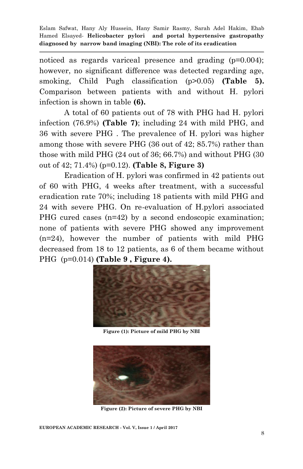noticed as regards variceal presence and grading (p=0.004); however, no significant difference was detected regarding age, smoking, Child Pugh classification (p>0.05) **(Table 5).**  Comparison between patients with and without H. pylori infection is shown in table **(6).**

A total of 60 patients out of 78 with PHG had H. pylori infection (76.9%) **(Table 7)**; including 24 with mild PHG, and 36 with severe PHG . The prevalence of H. pylori was higher among those with severe PHG (36 out of 42; 85.7%) rather than those with mild PHG (24 out of 36; 66.7%) and without PHG (30 out of 42; 71.4%) (p=0.12). **(Table 8, Figure 3)**

Eradication of H. pylori was confirmed in 42 patients out of 60 with PHG, 4 weeks after treatment, with a successful eradication rate 70%; including 18 patients with mild PHG and 24 with severe PHG. On re-evaluation of H.pylori associated PHG cured cases (n=42) by a second endoscopic examination; none of patients with severe PHG showed any improvement (n=24), however the number of patients with mild PHG decreased from 18 to 12 patients, as 6 of them became without PHG (p=0.014) **(Table 9 , Figure 4).**



**Figure (1): Picture of mild PHG by NBI**



**Figure (2): Picture of severe PHG by NBI**

**EUROPEAN ACADEMIC RESEARCH - Vol. V, Issue 1 / April 2017**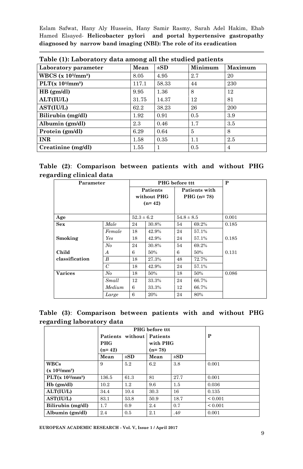| Table (1). Laboratory data among an the studied patients |       |          |         |                |  |  |  |  |  |
|----------------------------------------------------------|-------|----------|---------|----------------|--|--|--|--|--|
| Laboratory parameter                                     | Mean  | $\pm$ SD | Minimum | <b>Maximum</b> |  |  |  |  |  |
| WBCS $(x 103/mm3)$                                       | 8.05  | 4.95     | 2.7     | 20             |  |  |  |  |  |
| PLT(x 10 <sup>3</sup> /mm <sup>3</sup> )                 | 117.1 | 58.33    | 44      | 230            |  |  |  |  |  |
| HB (gm/dl)                                               | 9.95  | 1.36     | 8       | 12             |  |  |  |  |  |
| ALT(IU/L)                                                | 31.75 | 14.37    | 12      | 81             |  |  |  |  |  |
| <b>AST(IU/L)</b>                                         | 62.2  | 38.23    | 26      | 200            |  |  |  |  |  |
| Bilirubin (mg/dl)                                        | 1.92  | 0.91     | 0.5     | 3.9            |  |  |  |  |  |
| Albumin (gm/dl)                                          | 2.3   | 0.46     | 1.7     | 3.5            |  |  |  |  |  |
| Protein (gm/dl)                                          | 6.29  | 0.64     | 5       | 8              |  |  |  |  |  |
| <b>INR</b>                                               | 1.58  | 0.35     | 1.1     | 2.5            |  |  |  |  |  |
| Creatinine (mg/dl)                                       | 1.55  |          | 0.5     | 4              |  |  |  |  |  |

**Table (2)**: **Comparison between patients with and without PHG regarding clinical data** 

| Parameter      |                |                                     | PHG before ttt |                               |       | P     |
|----------------|----------------|-------------------------------------|----------------|-------------------------------|-------|-------|
|                |                | Patients<br>without PHG<br>$(n=42)$ |                | Patients with<br>PHG $(n=78)$ |       |       |
| Age            |                | $52.3 \pm 6.2$                      |                | $54.8 \pm 8.5$                |       | 0.001 |
| Sex            | Male           | 24                                  | 30.8%          | 54                            | 69.2% | 0.185 |
|                | Female         | 18                                  | 42.9%          | 24                            | 57.1% |       |
| Smoking        | Yes            | 18                                  | 42.9%          | 24                            | 57.1% | 0.185 |
|                | No             | 24                                  | 30.8%          | 54                            | 69.2% |       |
| Child          | A              | 6                                   | 50%            | 6                             | 50%   | 0.131 |
| classification | B              | 18                                  | 27.3%          | 48                            | 72.7% |       |
|                | $\overline{C}$ | 18                                  | 42.9%          | 24                            | 57.1% |       |
| <b>Varices</b> | No             | 18                                  | 50%            | 18                            | 50%   | 0.086 |
|                | Small          | 12                                  | 33.3%          | 24                            | 66.7% |       |
|                | Medium         | 6                                   | 33.3%          | 12                            | 66.7% |       |
|                | Large          | 6                                   | 20%            | 24                            | 80%   |       |

|  | Table (3): Comparison between patients with and without PHG |  |  |  |
|--|-------------------------------------------------------------|--|--|--|
|  | regarding laboratory data                                   |  |  |  |

|                                          |                           | <b>PHG</b> before ttt |          |          |              |
|------------------------------------------|---------------------------|-----------------------|----------|----------|--------------|
|                                          | Patients without Patients |                       |          |          | P            |
|                                          | <b>PHG</b>                |                       | with PHG |          |              |
|                                          | $(n=42)$                  |                       | $(n=78)$ |          |              |
|                                          | Mean                      | $\pm$ SD              | Mean     | $\pm$ SD |              |
| <b>WBCs</b>                              | 9                         | 5.2                   | 6.2      | 3.8      | 0.001        |
| $(x 10^{3}/mm^{3})$                      |                           |                       |          |          |              |
| PLT(x 10 <sup>3</sup> /mm <sup>3</sup> ) | 136.5                     | 61.3                  | 81       | 27.7     | 0.001        |
| $Hb$ (gm/dl)                             | 10.2                      | $1.2\,$               | 9.6      | 1.5      | 0.036        |
| <b>ALT(IU/L)</b>                         | 34.4                      | 10.4                  | 30.3     | 16       | 0.135        |
| AST(IU/L)                                | 83.1                      | 53.8                  | 50.9     | 18.7     | ${}_{0.001}$ |
| Bilirubin (mg/dl)                        | 1.7                       | 0.9                   | 2.4      | 0.7      | ${}_{0.001}$ |
| Albumin (gm/dl)                          | 2.4                       | 0.5                   | 2.1      | .40      | 0.001        |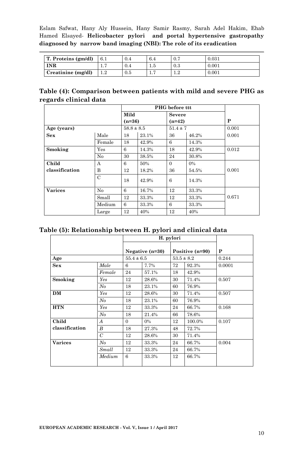| T. Proteins (gm/dl)         | 6.1 | 0.4 | 6.4 | $U_{\cdot}$ | 0.031 |
|-----------------------------|-----|-----|-----|-------------|-------|
| <b>INR</b>                  | .   | 0.4 | G.I | 0.3         | 0.001 |
| $\Gamma$ Creatinine (mg/dl) |     | 0.5 |     | െ           | 0.001 |

| Table (4): Comparison between patients with mild and severe PHG as |  |  |  |
|--------------------------------------------------------------------|--|--|--|
| regards clinical data                                              |  |  |  |

|                |                | <b>PHG</b> before ttt |       |               |       |       |
|----------------|----------------|-----------------------|-------|---------------|-------|-------|
|                |                | Mild                  |       | <b>Severe</b> |       |       |
|                |                | $(n=36)$              |       | $(n=42)$      |       | P     |
| Age (years)    |                | $58.8 \pm 8.5$        |       | $51.4 \pm 7$  |       | 0.001 |
| Sex            | Male           | 18                    | 23.1% | 36            | 46.2% | 0.001 |
|                | Female         | 18                    | 42.9% | 6             | 14.3% |       |
| Smoking        | Yes            | 6                     | 14.3% | 18            | 42.9% | 0.012 |
|                | No             | 30                    | 38.5% | 24            | 30.8% |       |
| Child          | А              | 6                     | 50%   | $\Omega$      | $0\%$ |       |
| classification | B              | 12                    | 18.2% | 36            | 54.5% | 0.001 |
|                | $\overline{C}$ | 18                    | 42.9% | 6             | 14.3% |       |
| <b>Varices</b> | No             | 6                     | 16.7% | 12            | 33.3% |       |
|                | Small          | 12                    | 33.3% | 12            | 33.3% | 0.671 |
|                | Medium         | 6                     | 33.3% | 6             | 33.3% |       |
|                | Large          | 12                    | 40%   | 12            | 40%   |       |

#### **Table (5): Relationship between H. pylori and clinical data**

|                |                |                | H. pylori         |    |                 |        |  |
|----------------|----------------|----------------|-------------------|----|-----------------|--------|--|
|                |                |                | Negative $(n=30)$ |    | Positive (n=90) | P      |  |
| Age            |                | $55.4 \pm 6.5$ |                   |    | $53.5 \pm 8.2$  | 0.244  |  |
| Sex            | Male           | 6              | 7.7%              | 72 | 92.3%           | 0.0001 |  |
|                | Female         | 24             | 57.1%             | 18 | 42.9%           |        |  |
| Smoking        | Yes            | 12             | 28.6%             | 30 | 71.4%           | 0.507  |  |
|                | N <sub>o</sub> | 18             | 23.1%             | 60 | 76.9%           |        |  |
| DM             | Yes            | 12             | 28.6%             | 30 | 71.4%           | 0.507  |  |
|                | N <sub>o</sub> | 18             | 23.1%             | 60 | 76.9%           |        |  |
| <b>HTN</b>     | Yes            | 12             | 33.3%             | 24 | 66.7%           | 0.168  |  |
|                | N <sub>o</sub> | 18             | 21.4%             | 66 | 78.6%           |        |  |
| Child          | A              | $\Omega$       | $0\%$             | 12 | 100.0%          | 0.107  |  |
| classification | B              | 18             | 27.3%             | 48 | 72.7%           |        |  |
|                | $\overline{C}$ | 12             | 28.6%             | 30 | 71.4%           |        |  |
| <b>Varices</b> | N <sub>o</sub> | 12             | 33.3%             | 24 | 66.7%           | 0.004  |  |
|                | Small          | 12             | 33.3%             | 24 | 66.7%           |        |  |
|                | Medium         | 6              | 33.3%             | 12 | 66.7%           |        |  |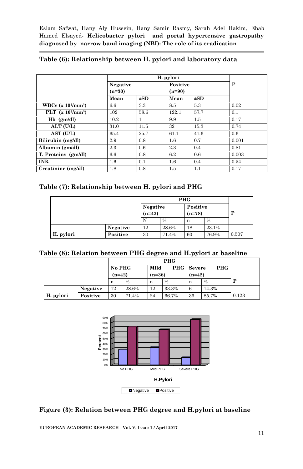|                     | Negative |          | Positive |          | P     |
|---------------------|----------|----------|----------|----------|-------|
|                     | $(n=30)$ |          | $(n=90)$ |          |       |
|                     | Mean     | $\pm SD$ | Mean     | $\pm SD$ |       |
| WBCs $(x 103/mm3)$  | 6.6      | 3.3      | 8.5      | 5.3      | 0.02  |
| PLT $(x 103/mm3)$   | 102      | 58.6     | 122.1    | 57.7     | 0.1   |
| $Hb$ (gm/dl)        | 10.2     |          | 9.9      | 1.5      | 0.17  |
| ALT (U/L)           | 31.0     | 11.5     | 32       | 15.3     | 0.74  |
| AST (U/L)           | 65.4     | 25.7     | 61.1     | 41.6     | 0.6   |
| Bilirubin (mg/dl)   | 2.9      | 0.8      | $1.6\,$  | 0.7      | 0.001 |
| Albumin (gm/dl)     | 2.3      | 0.6      | 2.3      | 0.4      | 0.81  |
| T. Proteins (gm/dl) | 6.6      | 0.8      | 6.2      | 0.6      | 0.003 |
| <b>INR</b>          | $1.6\,$  | 0.1      | $1.6\,$  | 0.4      | 0.54  |
| Creatinine (mg/dl)  | 1.8      | 0.8      | 1.5      | 1.1      | 0.17  |

#### **Table (6): Relationship between H. pylori and laboratory data**

#### **Table (7): Relationship between H. pylori and PHG**

|           |          | Negative |       | Positive |       |       |
|-----------|----------|----------|-------|----------|-------|-------|
|           |          | $(n=42)$ |       | $(n=78)$ |       | P     |
|           |          | N        | $\%$  | n        | $\%$  |       |
|           | Negative | 12       | 28.6% | 18       | 23.1% |       |
| H. pylori | Positive | 30       | 71.4% | 60       | 76.9% | 0.507 |

| Table (8): Relation between PHG degree and H.pylori at baseline |  |  |  |  |  |  |  |
|-----------------------------------------------------------------|--|--|--|--|--|--|--|
|-----------------------------------------------------------------|--|--|--|--|--|--|--|

| <b>PHG</b> |          |          |       |          |                   |          |            |       |
|------------|----------|----------|-------|----------|-------------------|----------|------------|-------|
|            |          | No PHG   |       | Mild     | <b>PHG</b> Severe |          | <b>PHG</b> |       |
|            |          | $(n=42)$ |       | $(n=36)$ |                   | $(n=42)$ |            |       |
|            |          | n        | $\%$  | n        | $\%$              | n        | $\%$       | D     |
|            | Negative | 12       | 28.6% | 12       | 33.3%             | 6        | 14.3%      |       |
| H. pylori  | Positive | 30       | 71.4% | 24       | 66.7%             | 36       | 85.7%      | 0.123 |



#### **Figure (3): Relation between PHG degree and H.pylori at baseline**

**EUROPEAN ACADEMIC RESEARCH - Vol. V, Issue 1 / April 2017**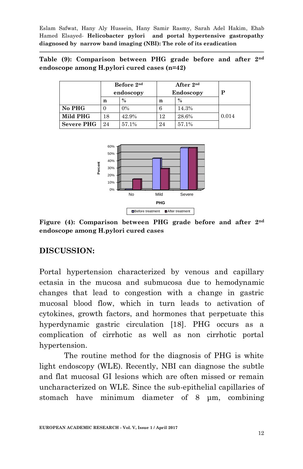**Table (9): Comparison between PHG grade before and after 2nd endoscope among H.pylori cured cases (n=42)**

|                   |    | Before 2nd<br>endoscopy |    | After 2 <sup>nd</sup><br>Endoscopy | P     |
|-------------------|----|-------------------------|----|------------------------------------|-------|
|                   | n  | $\frac{0}{0}$           | n  | $\frac{0}{0}$                      |       |
| No PHG            |    | $0\%$                   | 6  | 14.3%                              |       |
| Mild PHG          | 18 | 42.9%                   | 12 | 28.6%                              | 0.014 |
| <b>Severe PHG</b> | 24 | 57.1%                   | 24 | 57.1%                              |       |



**Figure (4): Comparison between PHG grade before and after 2 nd endoscope among H.pylori cured cases**

### **DISCUSSION:**

Portal hypertension characterized by venous and capillary ectasia in the mucosa and submucosa due to hemodynamic changes that lead to congestion with a change in gastric mucosal blood flow, which in turn leads to activation of cytokines, growth factors, and hormones that perpetuate this hyperdynamic gastric circulation [18]. PHG occurs as a complication of cirrhotic as well as non cirrhotic portal hypertension.

The routine method for the diagnosis of PHG is white light endoscopy (WLE). Recently, NBI can diagnose the subtle and flat mucosal GI lesions which are often missed or remain uncharacterized on WLE. Since the sub-epithelial capillaries of stomach have minimum diameter of 8 μm, combining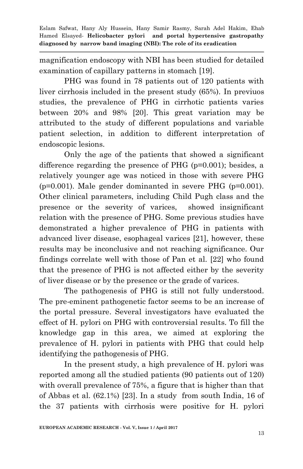magnification endoscopy with NBI has been studied for detailed examination of capillary patterns in stomach [19].

PHG was found in 78 patients out of 120 patients with liver cirrhosis included in the present study (65%). In previuos studies, the prevalence of PHG in cirrhotic patients varies between 20% and 98% [20]. This great variation may be attributed to the study of different populations and variable patient selection, in addition to different interpretation of endoscopic lesions.

Only the age of the patients that showed a significant difference regarding the presence of PHG (p=0.001); besides, a relatively younger age was noticed in those with severe PHG  $(p=0.001)$ . Male gender dominanted in severe PHG  $(p=0.001)$ . Other clinical parameters, including Child Pugh class and the presence or the severity of varices, showed insignificant relation with the presence of PHG. Some previous studies have demonstrated a higher prevalence of PHG in patients with advanced liver disease, esophageal varices [21], however, these results may be inconclusive and not reaching significance. Our findings correlate well with those of Pan et al. [22] who found that the presence of PHG is not affected either by the severity of liver disease or by the presence or the grade of varices.

The pathogenesis of PHG is still not fully understood. The pre-eminent pathogenetic factor seems to be an increase of the portal pressure. Several investigators have evaluated the effect of H. pylori on PHG with controversial results. To fill the knowledge gap in this area, we aimed at exploring the prevalence of H. pylori in patients with PHG that could help identifying the pathogenesis of PHG.

In the present study, a high prevalence of H. pylori was reported among all the studied patients (90 patients out of 120) with overall prevalence of 75%, a figure that is higher than that of Abbas et al. (62.1%) [23]. In a study from south India, 16 of the 37 patients with cirrhosis were positive for H. pylori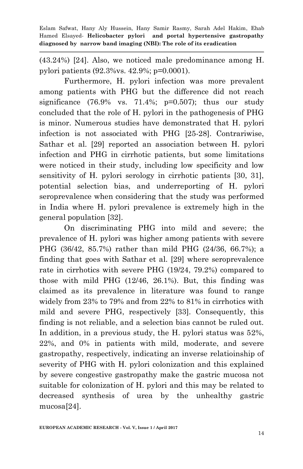(43.24%) [24]. Also, we noticed male predominance among H. pylori patients (92.3%vs. 42.9%; p=0.0001).

Furthermore, H. pylori infection was more prevalent among patients with PHG but the difference did not reach significance  $(76.9\% \text{ vs. } 71.4\%; \text{ p=0.507})$ ; thus our study concluded that the role of H. pylori in the pathogenesis of PHG is minor. Numerous studies have demonstrated that H*.* pylori infection is not associated with PHG [25-28]. Contrariwise, Sathar et al. [29] reported an association between H*.* pylori infection and PHG in cirrhotic patients, but some limitations were noticed in their study, including low specificity and low sensitivity of H*.* pylori serology in cirrhotic patients [30, 31], potential selection bias, and underreporting of H*.* pylori seroprevalence when considering that the study was performed in India where H. pylori prevalence is extremely high in the general population [32].

On discriminating PHG into mild and severe; the prevalence of H. pylori was higher among patients with severe PHG (36/42, 85.7%) rather than mild PHG (24/36, 66.7%); a finding that goes with Sathar et al. [29] where seroprevalence rate in cirrhotics with severe PHG (19/24, 79.2%) compared to those with mild PHG (12/46, 26.1%). But, this finding was claimed as its prevalence in literature was found to range widely from 23% to 79% and from 22% to 81% in cirrhotics with mild and severe PHG, respectively [33]. Consequently, this finding is not reliable, and a selection bias cannot be ruled out. In addition, in a previous study, the H. pylori status was 52%, 22%, and 0% in patients with mild, moderate, and severe gastropathy, respectively, indicating an inverse relatioinship of severity of PHG with H. pylori colonization and this explained by severe congestive gastropathy make the gastric mucosa not suitable for colonization of H. pylori and this may be related to decreased synthesis of urea by the unhealthy gastric mucosa[24].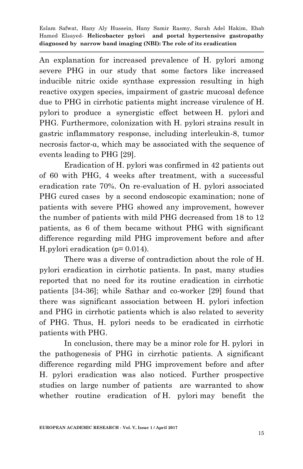An explanation for increased prevalence of H. pylori among severe PHG in our study that some factors like increased inducible nitric oxide synthase expression resulting in high reactive oxygen species, impairment of gastric mucosal defence due to PHG in cirrhotic patients might increase virulence of H. pylori to produce a synergistic effect between H. pylori and PHG. Furthermore, colonization with H. pylori strains result in gastric inflammatory response, including interleukin-8, tumor necrosis factor-α, which may be associated with the sequence of events leading to PHG [29].

Eradication of H. pylori was confirmed in 42 patients out of 60 with PHG, 4 weeks after treatment, with a successful eradication rate 70%. On re-evaluation of H. pylori associated PHG cured cases by a second endoscopic examination; none of patients with severe PHG showed any improvement, however the number of patients with mild PHG decreased from 18 to 12 patients, as 6 of them became without PHG with significant difference regarding mild PHG improvement before and after H.pylori eradication (p= 0.014).

There was a diverse of contradiction about the role of H. pylori eradication in cirrhotic patients. In past, many studies reported that no need for its routine eradication in cirrhotic patients [34-36]; while Sathar and co-worker [29] found that there was significant association between H. pylori infection and PHG in cirrhotic patients which is also related to severity of PHG. Thus, H. pylori needs to be eradicated in cirrhotic patients with PHG.

In conclusion, there may be a minor role for H. pylori in the pathogenesis of PHG in cirrhotic patients. A significant difference regarding mild PHG improvement before and after H. pylori eradication was also noticed. Further prospective studies on large number of patients are warranted to show whether routine eradication of H. pylori may benefit the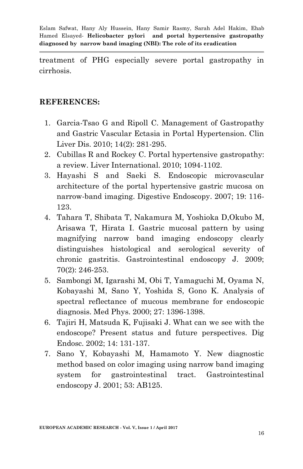treatment of PHG especially severe portal gastropathy in cirrhosis.

### **REFERENCES:**

- 1. Garcia-Tsao G and Ripoll C. Management of Gastropathy and Gastric Vascular Ectasia in Portal Hypertension. Clin Liver Dis. 2010; 14(2): 281-295.
- 2. Cubillas R and Rockey C. Portal hypertensive gastropathy: a review. Liver International. 2010; 1094-1102.
- 3. Hayashi S and Saeki S. Endoscopic microvascular architecture of the portal hypertensive gastric mucosa on narrow-band imaging. Digestive Endoscopy. 2007; 19: 116- 123.
- 4. Tahara T, Shibata T, Nakamura M, Yoshioka D,Okubo M, Arisawa T, Hirata I. Gastric mucosal pattern by using magnifying narrow band imaging endoscopy clearly distinguishes histological and serological severity of chronic gastritis. Gastrointestinal endoscopy J. 2009; 70(2): 246-253.
- 5. Sambongi M, Igarashi M, Obi T, Yamaguchi M, Oyama N, Kobayashi M, Sano Y, Yoshida S, Gono K. Analysis of spectral reflectance of mucous membrane for endoscopic diagnosis. Med Phys. 2000; 27: 1396-1398.
- 6. Tajiri H, Matsuda K, Fujisaki J. What can we see with the endoscope? Present status and future perspectives. Dig Endosc. 2002; 14: 131-137.
- 7. Sano Y, Kobayashi M, Hamamoto Y. New diagnostic method based on color imaging using narrow band imaging system for gastrointestinal tract. Gastrointestinal endoscopy J. 2001; 53: AB125.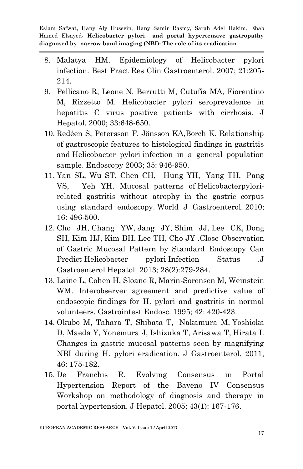- 8. Malatya HM. Epidemiology of Helicobacter pylori infection. Best Pract Res Clin Gastroenterol. 2007; 21:205- 214.
- 9. Pellicano R, Leone N, Berrutti M, Cutufia MA, Fiorentino M, Rizzetto M. Helicobacter pylori seroprevalence in hepatitis C virus positive patients with cirrhosis. J Hepatol. 2000; 33:648-650.
- 10. Redéen S, Petersson F, Jönsson KA,Borch K. Relationship of gastroscopic features to histological findings in gastritis and Helicobacter pylori infection in a general population sample. Endoscopy 2003; 35: 946-950.
- 11. Yan SL, Wu ST, Chen CH, Hung YH, Yang TH, Pang VS, Yeh YH. Mucosal patterns of Helicobacterpylorirelated gastritis without atrophy in the gastric corpus using standard endoscopy. World J Gastroenterol. 2010; 16: 496-500.
- 12. [Cho JH,](https://www.ncbi.nlm.nih.gov/pubmed/?term=Cho%20JH%5BAuthor%5D&cauthor=true&cauthor_uid=23189930) [Chang YW,](https://www.ncbi.nlm.nih.gov/pubmed/?term=Chang%20YW%5BAuthor%5D&cauthor=true&cauthor_uid=23189930) [Jang JY,](https://www.ncbi.nlm.nih.gov/pubmed/?term=Jang%20JY%5BAuthor%5D&cauthor=true&cauthor_uid=23189930) [Shim JJ,](https://www.ncbi.nlm.nih.gov/pubmed/?term=Shim%20JJ%5BAuthor%5D&cauthor=true&cauthor_uid=23189930) [Lee CK,](https://www.ncbi.nlm.nih.gov/pubmed/?term=Lee%20CK%5BAuthor%5D&cauthor=true&cauthor_uid=23189930) [Dong](https://www.ncbi.nlm.nih.gov/pubmed/?term=Dong%20SH%5BAuthor%5D&cauthor=true&cauthor_uid=23189930)  [SH,](https://www.ncbi.nlm.nih.gov/pubmed/?term=Dong%20SH%5BAuthor%5D&cauthor=true&cauthor_uid=23189930) [Kim HJ,](https://www.ncbi.nlm.nih.gov/pubmed/?term=Kim%20HJ%5BAuthor%5D&cauthor=true&cauthor_uid=23189930) [Kim BH,](https://www.ncbi.nlm.nih.gov/pubmed/?term=Kim%20BH%5BAuthor%5D&cauthor=true&cauthor_uid=23189930) [Lee TH,](https://www.ncbi.nlm.nih.gov/pubmed/?term=Lee%20TH%5BAuthor%5D&cauthor=true&cauthor_uid=23189930) [Cho JY](https://www.ncbi.nlm.nih.gov/pubmed/?term=Cho%20JY%5BAuthor%5D&cauthor=true&cauthor_uid=23189930) .Close Observation of Gastric Mucosal Pattern by Standard Endoscopy Can Predict Helicobacter pylori Infection Status .J Gastroenterol Hepatol. 2013; 28(2):279-284.
- 13. Laine L, Cohen H, Sloane R, Marin-Sorensen M, Weinstein WM. Interobserver agreement and predictive value of endoscopic findings for H. pylori and gastritis in normal volunteers. Gastrointest Endosc. 1995; 42: 420-423.
- 14. Okubo M, Tahara T, Shibata T, [Nakamura M,](https://www.ncbi.nlm.nih.gov/pubmed/?term=Nakamura%20M%5BAuthor%5D&cauthor=true&cauthor_uid=20967557) [Yoshioka](https://www.ncbi.nlm.nih.gov/pubmed/?term=Yoshioka%20D%5BAuthor%5D&cauthor=true&cauthor_uid=20967557)  [D,](https://www.ncbi.nlm.nih.gov/pubmed/?term=Yoshioka%20D%5BAuthor%5D&cauthor=true&cauthor_uid=20967557) [Maeda Y,](https://www.ncbi.nlm.nih.gov/pubmed/?term=Maeda%20Y%5BAuthor%5D&cauthor=true&cauthor_uid=20967557) [Yonemura J,](https://www.ncbi.nlm.nih.gov/pubmed/?term=Yonemura%20J%5BAuthor%5D&cauthor=true&cauthor_uid=20967557) [Ishizuka T,](https://www.ncbi.nlm.nih.gov/pubmed/?term=Ishizuka%20T%5BAuthor%5D&cauthor=true&cauthor_uid=20967557) [Arisawa T,](https://www.ncbi.nlm.nih.gov/pubmed/?term=Arisawa%20T%5BAuthor%5D&cauthor=true&cauthor_uid=20967557) [Hirata I.](https://www.ncbi.nlm.nih.gov/pubmed/?term=Hirata%20I%5BAuthor%5D&cauthor=true&cauthor_uid=20967557) Changes in gastric mucosal patterns seen by magnifying NBI during H. pylori eradication. J Gastroenterol. 2011; 46: 175-182.
- 15. De Franchis R. Evolving Consensus in Portal Hypertension Report of the Baveno IV Consensus Workshop on methodology of diagnosis and therapy in portal hypertension. J Hepatol. 2005; 43(1): 167-176.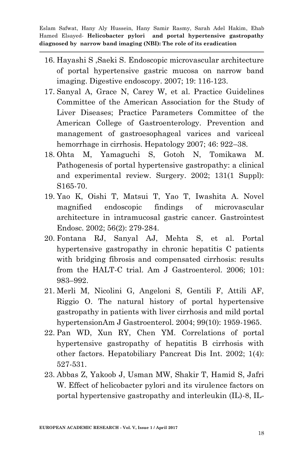- 16. Hayashi S ,Saeki S. Endoscopic microvascular architecture of portal hypertensive gastric mucosa on narrow band imaging. Digestive endoscopy. 2007; 19: 116-123.
- 17. Sanyal A, Grace N, Carey W, et al. Practice Guidelines Committee of the American Association for the Study of Liver Diseases; Practice Parameters Committee of the American College of Gastroenterology. Prevention and management of gastroesophageal varices and variceal hemorrhage in cirrhosis. Hepatology 2007; 46: 922–38.
- 18. Ohta M, Yamaguchi S, Gotoh N, Tomikawa M. Pathogenesis of portal hypertensive gastropathy: a clinical and experimental review. Surgery. 2002; 131(1 Suppl): S165-70.
- 19. Yao K, Oishi T, Matsui T, Yao T, Iwashita A. Novel magnified endoscopic findings of microvascular architecture in intramucosal gastric cancer. Gastrointest Endosc. 2002; 56(2): 279-284.
- 20. Fontana RJ, Sanyal AJ, Mehta S, et al. Portal hypertensive gastropathy in chronic hepatitis C patients with bridging fibrosis and compensated cirrhosis: results from the HALT-C trial. Am J Gastroenterol. 2006; 101: 983–992.
- 21. Merli M, Nicolini G, Angeloni S, Gentili F, Attili AF, Riggio O. The natural history of portal hypertensive gastropathy in patients with liver cirrhosis and mild portal hypertensionAm J Gastroenterol. 2004; 99(10): 1959-1965.
- 22. Pan WD, Xun RY, Chen YM. Correlations of portal hypertensive gastropathy of hepatitis B cirrhosis with other factors. Hepatobiliary Pancreat Dis Int. 2002; 1(4): 527-531.
- 23. Abbas Z, Yakoob J, Usman MW, Shakir T, Hamid S, Jafri W. Effect of helicobacter pylori and its virulence factors on portal hypertensive gastropathy and interleukin (IL)-8, IL-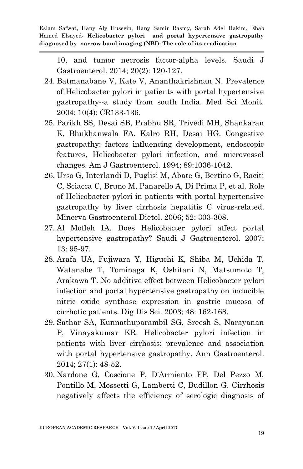10, and tumor necrosis factor-alpha levels. Saudi J Gastroenterol. 2014; 20(2): 120-127.

- 24. Batmanabane V, Kate V, Ananthakrishnan N. Prevalence of Helicobacter pylori in patients with portal hypertensive gastropathy--a study from south India. Med Sci Monit. 2004; 10(4): CR133-136.
- 25. Parikh SS, Desai SB, Prabhu SR, Trivedi MH, Shankaran K, Bhukhanwala FA, Kalro RH, Desai HG. Congestive gastropathy: factors influencing development, endoscopic features, Helicobacter pylori infection, and microvessel changes. Am J Gastroenterol. 1994; 89:1036-1042.
- 26. Urso G, Interlandi D, Puglisi M, Abate G, Bertino G, Raciti C, Sciacca C, Bruno M, Panarello A, Di Prima P, et al. Role of Helicobacter pylori in patients with portal hypertensive gastropathy by liver cirrhosis hepatitis C virus-related. Minerva Gastroenterol Dietol. 2006; 52: 303-308.
- 27. Al Mofleh IA. Does Helicobacter pylori affect portal hypertensive gastropathy? Saudi J Gastroenterol. 2007; 13: 95-97.
- 28. Arafa UA, Fujiwara Y, Higuchi K, Shiba M, Uchida T, Watanabe T, Tominaga K, Oshitani N, Matsumoto T, Arakawa T. No additive effect between Helicobacter pylori infection and portal hypertensive gastropathy on inducible nitric oxide synthase expression in gastric mucosa of cirrhotic patients. Dig Dis Sci. 2003; 48: 162-168.
- 29. Sathar SA, Kunnathuparambil SG, Sreesh S, Narayanan P, Vinayakumar KR. Helicobacter pylori infection in patients with liver cirrhosis: prevalence and association with portal hypertensive gastropathy. Ann Gastroenterol. 2014; 27(1): 48-52.
- 30. Nardone G, Coscione P, D'Armiento FP, Del Pezzo M, Pontillo M, Mossetti G, Lamberti C, Budillon G. Cirrhosis negatively affects the efficiency of serologic diagnosis of